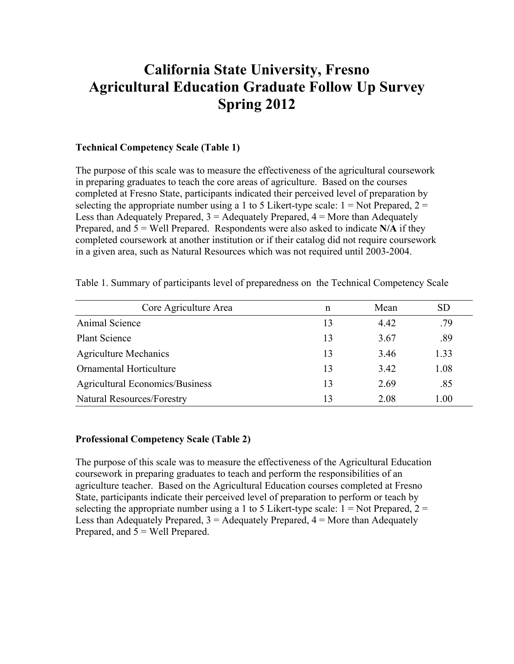# **California State University, Fresno Agricultural Education Graduate Follow Up Survey Spring 2012**

#### **Technical Competency Scale (Table 1)**

The purpose of this scale was to measure the effectiveness of the agricultural coursework in preparing graduates to teach the core areas of agriculture. Based on the courses completed at Fresno State, participants indicated their perceived level of preparation by selecting the appropriate number using a 1 to 5 Likert-type scale:  $1 = Not$  Prepared,  $2 =$ Less than Adequately Prepared,  $3 =$  Adequately Prepared,  $4 =$  More than Adequately Prepared, and 5 = Well Prepared. Respondents were also asked to indicate **N/A** if they completed coursework at another institution or if their catalog did not require coursework in a given area, such as Natural Resources which was not required until 2003-2004.

| Core Agriculture Area                  | n  | Mean | <b>SD</b> |
|----------------------------------------|----|------|-----------|
| Animal Science                         | 13 | 4.42 | .79       |
| <b>Plant Science</b>                   | 13 | 3.67 | .89       |
| <b>Agriculture Mechanics</b>           | 13 | 3.46 | 1.33      |
| Ornamental Horticulture                | 13 | 3.42 | 1.08      |
| <b>Agricultural Economics/Business</b> | 13 | 2.69 | .85       |
| <b>Natural Resources/Forestry</b>      | 13 | 2.08 | 1.00      |

Table 1. Summary of participants level of preparedness on the Technical Competency Scale

#### **Professional Competency Scale (Table 2)**

The purpose of this scale was to measure the effectiveness of the Agricultural Education coursework in preparing graduates to teach and perform the responsibilities of an agriculture teacher. Based on the Agricultural Education courses completed at Fresno State, participants indicate their perceived level of preparation to perform or teach by selecting the appropriate number using a 1 to 5 Likert-type scale:  $1 = Not$  Prepared,  $2 =$ Less than Adequately Prepared,  $3 =$  Adequately Prepared,  $4 =$  More than Adequately Prepared, and 5 = Well Prepared.